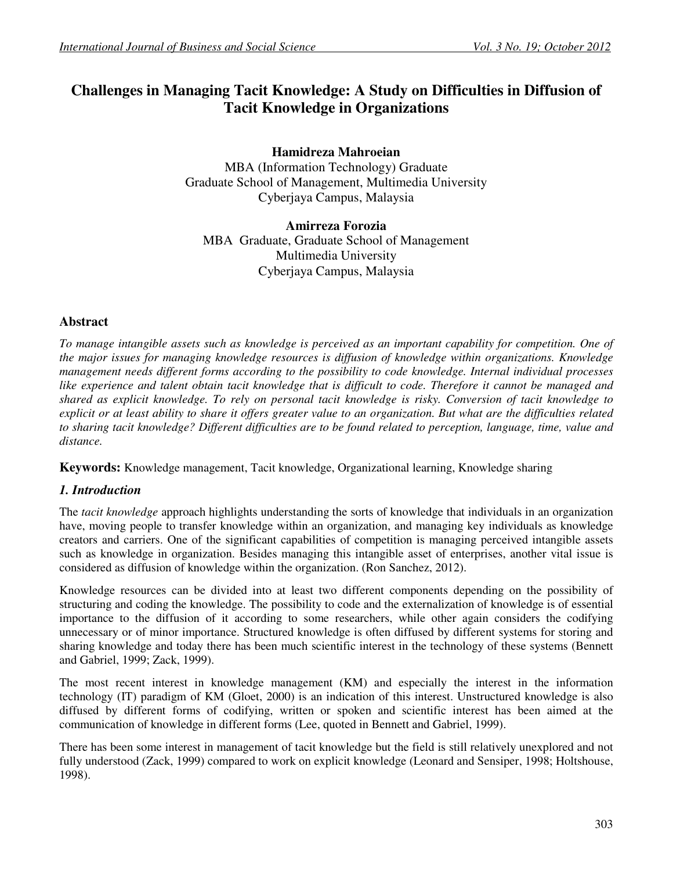# **Challenges in Managing Tacit Knowledge: A Study on Difficulties in Diffusion of Tacit Knowledge in Organizations**

**Hamidreza Mahroeian** MBA (Information Technology) Graduate Graduate School of Management, Multimedia University Cyberjaya Campus, Malaysia

**Amirreza Forozia** MBA Graduate, Graduate School of Management Multimedia University Cyberjaya Campus, Malaysia

## **Abstract**

*To manage intangible assets such as knowledge is perceived as an important capability for competition. One of the major issues for managing knowledge resources is diffusion of knowledge within organizations. Knowledge management needs different forms according to the possibility to code knowledge. Internal individual processes like experience and talent obtain tacit knowledge that is difficult to code. Therefore it cannot be managed and shared as explicit knowledge. To rely on personal tacit knowledge is risky. Conversion of tacit knowledge to explicit or at least ability to share it offers greater value to an organization. But what are the difficulties related to sharing tacit knowledge? Different difficulties are to be found related to perception, language, time, value and distance.* 

**Keywords:** Knowledge management, Tacit knowledge, Organizational learning, Knowledge sharing

## *1. Introduction*

The *tacit knowledge* approach highlights understanding the sorts of knowledge that individuals in an organization have, moving people to transfer knowledge within an organization, and managing key individuals as knowledge creators and carriers. One of the significant capabilities of competition is managing perceived intangible assets such as knowledge in organization. Besides managing this intangible asset of enterprises, another vital issue is considered as diffusion of knowledge within the organization. (Ron Sanchez, 2012).

Knowledge resources can be divided into at least two different components depending on the possibility of structuring and coding the knowledge. The possibility to code and the externalization of knowledge is of essential importance to the diffusion of it according to some researchers, while other again considers the codifying unnecessary or of minor importance. Structured knowledge is often diffused by different systems for storing and sharing knowledge and today there has been much scientific interest in the technology of these systems (Bennett and Gabriel, 1999; Zack, 1999).

The most recent interest in knowledge management (KM) and especially the interest in the information technology (IT) paradigm of KM (Gloet, 2000) is an indication of this interest. Unstructured knowledge is also diffused by different forms of codifying, written or spoken and scientific interest has been aimed at the communication of knowledge in different forms (Lee, quoted in Bennett and Gabriel, 1999).

There has been some interest in management of tacit knowledge but the field is still relatively unexplored and not fully understood (Zack, 1999) compared to work on explicit knowledge (Leonard and Sensiper, 1998; Holtshouse, 1998).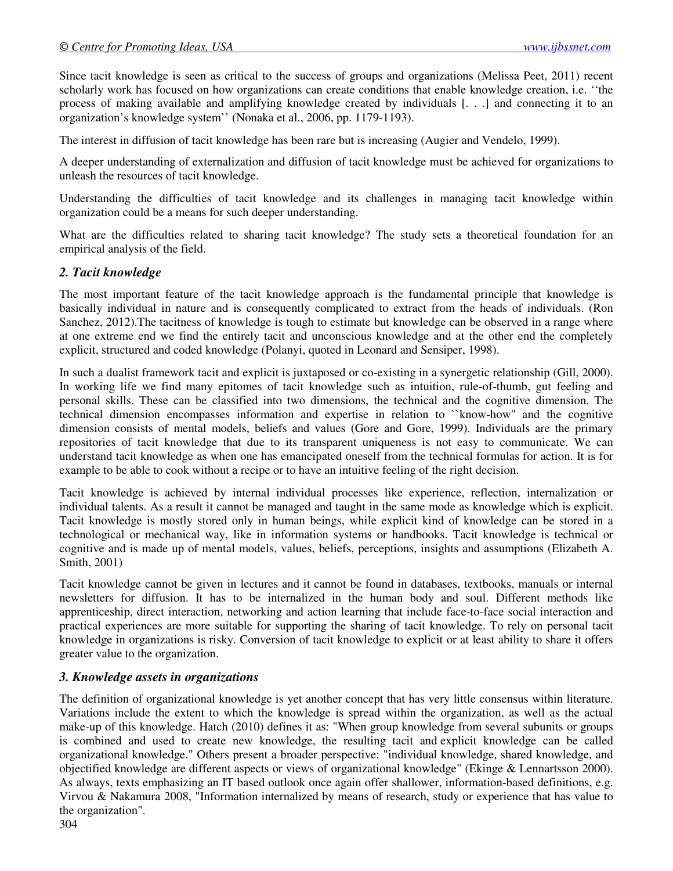Since tacit knowledge is seen as critical to the success of groups and organizations (Melissa Peet, 2011) recent scholarly work has focused on how organizations can create conditions that enable knowledge creation, i.e. ''the process of making available and amplifying knowledge created by individuals [. . .] and connecting it to an organization's knowledge system'' (Nonaka et al., 2006, pp. 1179-1193).

The interest in diffusion of tacit knowledge has been rare but is increasing (Augier and Vendelo, 1999).

A deeper understanding of externalization and diffusion of tacit knowledge must be achieved for organizations to unleash the resources of tacit knowledge.

Understanding the difficulties of tacit knowledge and its challenges in managing tacit knowledge within organization could be a means for such deeper understanding.

What are the difficulties related to sharing tacit knowledge? The study sets a theoretical foundation for an empirical analysis of the field.

## *2. Tacit knowledge*

The most important feature of the tacit knowledge approach is the fundamental principle that knowledge is basically individual in nature and is consequently complicated to extract from the heads of individuals. (Ron Sanchez, 2012).The tacitness of knowledge is tough to estimate but knowledge can be observed in a range where at one extreme end we find the entirely tacit and unconscious knowledge and at the other end the completely explicit, structured and coded knowledge (Polanyi, quoted in Leonard and Sensiper, 1998).

In such a dualist framework tacit and explicit is juxtaposed or co-existing in a synergetic relationship (Gill, 2000). In working life we find many epitomes of tacit knowledge such as intuition, rule-of-thumb, gut feeling and personal skills. These can be classified into two dimensions, the technical and the cognitive dimension. The technical dimension encompasses information and expertise in relation to ``know-how'' and the cognitive dimension consists of mental models, beliefs and values (Gore and Gore, 1999). Individuals are the primary repositories of tacit knowledge that due to its transparent uniqueness is not easy to communicate. We can understand tacit knowledge as when one has emancipated oneself from the technical formulas for action. It is for example to be able to cook without a recipe or to have an intuitive feeling of the right decision.

Tacit knowledge is achieved by internal individual processes like experience, reflection, internalization or individual talents. As a result it cannot be managed and taught in the same mode as knowledge which is explicit. Tacit knowledge is mostly stored only in human beings, while explicit kind of knowledge can be stored in a technological or mechanical way, like in information systems or handbooks. Tacit knowledge is technical or cognitive and is made up of mental models, values, beliefs, perceptions, insights and assumptions (Elizabeth A. Smith, 2001)

Tacit knowledge cannot be given in lectures and it cannot be found in databases, textbooks, manuals or internal newsletters for diffusion. It has to be internalized in the human body and soul. Different methods like apprenticeship, direct interaction, networking and action learning that include face-to-face social interaction and practical experiences are more suitable for supporting the sharing of tacit knowledge. To rely on personal tacit knowledge in organizations is risky. Conversion of tacit knowledge to explicit or at least ability to share it offers greater value to the organization.

## *3. Knowledge assets in organizations*

The definition of organizational knowledge is yet another concept that has very little consensus within literature. Variations include the extent to which the knowledge is spread within the organization, as well as the actual make-up of this knowledge. Hatch (2010) defines it as: "When group knowledge from several subunits or groups is combined and used to create new knowledge, the resulting tacit and explicit knowledge can be called organizational knowledge." Others present a broader perspective: "individual knowledge, shared knowledge, and objectified knowledge are different aspects or views of organizational knowledge" (Ekinge & Lennartsson 2000). As always, texts emphasizing an IT based outlook once again offer shallower, information-based definitions, e.g. Virvou & Nakamura 2008, "Information internalized by means of research, study or experience that has value to the organization".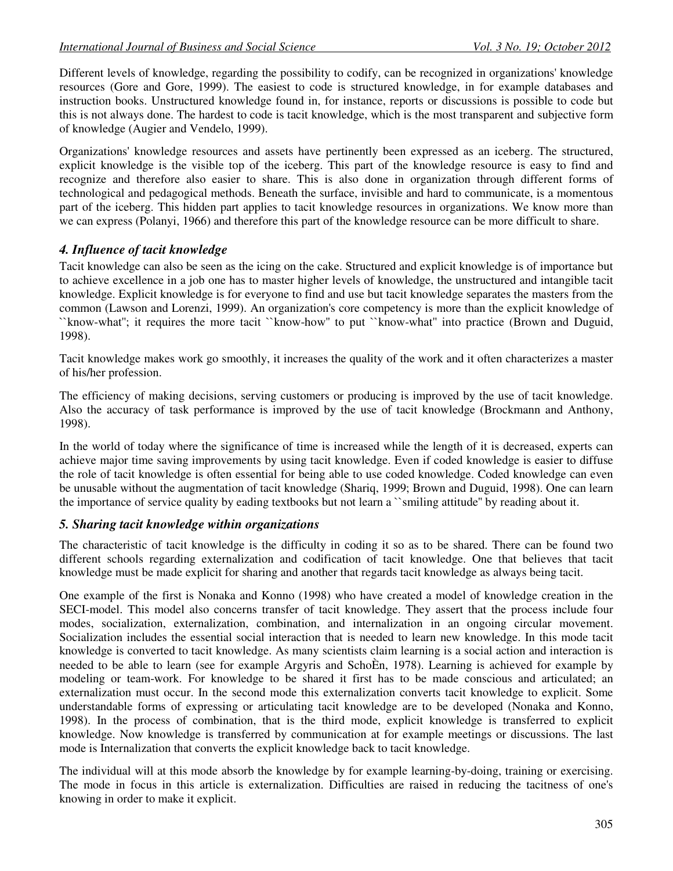Different levels of knowledge, regarding the possibility to codify, can be recognized in organizations' knowledge resources (Gore and Gore, 1999). The easiest to code is structured knowledge, in for example databases and instruction books. Unstructured knowledge found in, for instance, reports or discussions is possible to code but this is not always done. The hardest to code is tacit knowledge, which is the most transparent and subjective form of knowledge (Augier and Vendelo, 1999).

Organizations' knowledge resources and assets have pertinently been expressed as an iceberg. The structured, explicit knowledge is the visible top of the iceberg. This part of the knowledge resource is easy to find and recognize and therefore also easier to share. This is also done in organization through different forms of technological and pedagogical methods. Beneath the surface, invisible and hard to communicate, is a momentous part of the iceberg. This hidden part applies to tacit knowledge resources in organizations. We know more than we can express (Polanyi, 1966) and therefore this part of the knowledge resource can be more difficult to share.

## *4. Influence of tacit knowledge*

Tacit knowledge can also be seen as the icing on the cake. Structured and explicit knowledge is of importance but to achieve excellence in a job one has to master higher levels of knowledge, the unstructured and intangible tacit knowledge. Explicit knowledge is for everyone to find and use but tacit knowledge separates the masters from the common (Lawson and Lorenzi, 1999). An organization's core competency is more than the explicit knowledge of ``know-what''; it requires the more tacit ``know-how'' to put ``know-what'' into practice (Brown and Duguid, 1998).

Tacit knowledge makes work go smoothly, it increases the quality of the work and it often characterizes a master of his/her profession.

The efficiency of making decisions, serving customers or producing is improved by the use of tacit knowledge. Also the accuracy of task performance is improved by the use of tacit knowledge (Brockmann and Anthony, 1998).

In the world of today where the significance of time is increased while the length of it is decreased, experts can achieve major time saving improvements by using tacit knowledge. Even if coded knowledge is easier to diffuse the role of tacit knowledge is often essential for being able to use coded knowledge. Coded knowledge can even be unusable without the augmentation of tacit knowledge (Shariq, 1999; Brown and Duguid, 1998). One can learn the importance of service quality by eading textbooks but not learn a ``smiling attitude'' by reading about it.

## *5. Sharing tacit knowledge within organizations*

The characteristic of tacit knowledge is the difficulty in coding it so as to be shared. There can be found two different schools regarding externalization and codification of tacit knowledge. One that believes that tacit knowledge must be made explicit for sharing and another that regards tacit knowledge as always being tacit.

One example of the first is Nonaka and Konno (1998) who have created a model of knowledge creation in the SECI-model. This model also concerns transfer of tacit knowledge. They assert that the process include four modes, socialization, externalization, combination, and internalization in an ongoing circular movement. Socialization includes the essential social interaction that is needed to learn new knowledge. In this mode tacit knowledge is converted to tacit knowledge. As many scientists claim learning is a social action and interaction is needed to be able to learn (see for example Argyris and SchoÈn, 1978). Learning is achieved for example by modeling or team-work. For knowledge to be shared it first has to be made conscious and articulated; an externalization must occur. In the second mode this externalization converts tacit knowledge to explicit. Some understandable forms of expressing or articulating tacit knowledge are to be developed (Nonaka and Konno, 1998). In the process of combination, that is the third mode, explicit knowledge is transferred to explicit knowledge. Now knowledge is transferred by communication at for example meetings or discussions. The last mode is Internalization that converts the explicit knowledge back to tacit knowledge.

The individual will at this mode absorb the knowledge by for example learning-by-doing, training or exercising. The mode in focus in this article is externalization. Difficulties are raised in reducing the tacitness of one's knowing in order to make it explicit.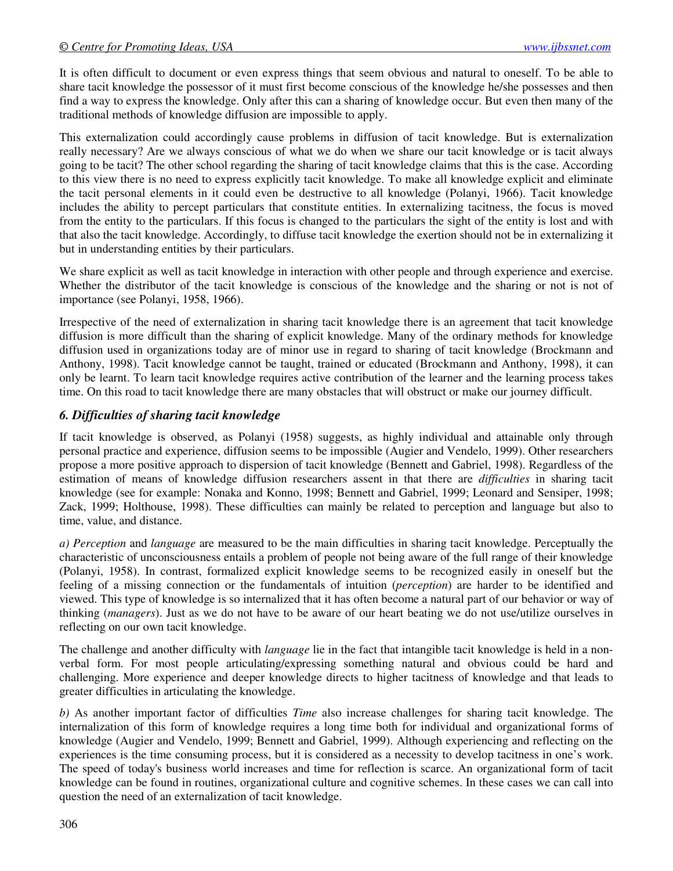It is often difficult to document or even express things that seem obvious and natural to oneself. To be able to share tacit knowledge the possessor of it must first become conscious of the knowledge he/she possesses and then find a way to express the knowledge. Only after this can a sharing of knowledge occur. But even then many of the traditional methods of knowledge diffusion are impossible to apply.

This externalization could accordingly cause problems in diffusion of tacit knowledge. But is externalization really necessary? Are we always conscious of what we do when we share our tacit knowledge or is tacit always going to be tacit? The other school regarding the sharing of tacit knowledge claims that this is the case. According to this view there is no need to express explicitly tacit knowledge. To make all knowledge explicit and eliminate the tacit personal elements in it could even be destructive to all knowledge (Polanyi, 1966). Tacit knowledge includes the ability to percept particulars that constitute entities. In externalizing tacitness, the focus is moved from the entity to the particulars. If this focus is changed to the particulars the sight of the entity is lost and with that also the tacit knowledge. Accordingly, to diffuse tacit knowledge the exertion should not be in externalizing it but in understanding entities by their particulars.

We share explicit as well as tacit knowledge in interaction with other people and through experience and exercise. Whether the distributor of the tacit knowledge is conscious of the knowledge and the sharing or not is not of importance (see Polanyi, 1958, 1966).

Irrespective of the need of externalization in sharing tacit knowledge there is an agreement that tacit knowledge diffusion is more difficult than the sharing of explicit knowledge. Many of the ordinary methods for knowledge diffusion used in organizations today are of minor use in regard to sharing of tacit knowledge (Brockmann and Anthony, 1998). Tacit knowledge cannot be taught, trained or educated (Brockmann and Anthony, 1998), it can only be learnt. To learn tacit knowledge requires active contribution of the learner and the learning process takes time. On this road to tacit knowledge there are many obstacles that will obstruct or make our journey difficult.

## *6. Difficulties of sharing tacit knowledge*

If tacit knowledge is observed, as Polanyi (1958) suggests, as highly individual and attainable only through personal practice and experience, diffusion seems to be impossible (Augier and Vendelo, 1999). Other researchers propose a more positive approach to dispersion of tacit knowledge (Bennett and Gabriel, 1998). Regardless of the estimation of means of knowledge diffusion researchers assent in that there are *difficulties* in sharing tacit knowledge (see for example: Nonaka and Konno, 1998; Bennett and Gabriel, 1999; Leonard and Sensiper, 1998; Zack, 1999; Holthouse, 1998). These difficulties can mainly be related to perception and language but also to time, value, and distance.

*a) Perception* and *language* are measured to be the main difficulties in sharing tacit knowledge. Perceptually the characteristic of unconsciousness entails a problem of people not being aware of the full range of their knowledge (Polanyi, 1958). In contrast, formalized explicit knowledge seems to be recognized easily in oneself but the feeling of a missing connection or the fundamentals of intuition (*perception*) are harder to be identified and viewed. This type of knowledge is so internalized that it has often become a natural part of our behavior or way of thinking (*managers*). Just as we do not have to be aware of our heart beating we do not use/utilize ourselves in reflecting on our own tacit knowledge.

The challenge and another difficulty with *language* lie in the fact that intangible tacit knowledge is held in a nonverbal form. For most people articulating/expressing something natural and obvious could be hard and challenging. More experience and deeper knowledge directs to higher tacitness of knowledge and that leads to greater difficulties in articulating the knowledge.

*b)* As another important factor of difficulties *Time* also increase challenges for sharing tacit knowledge. The internalization of this form of knowledge requires a long time both for individual and organizational forms of knowledge (Augier and Vendelo, 1999; Bennett and Gabriel, 1999). Although experiencing and reflecting on the experiences is the time consuming process, but it is considered as a necessity to develop tacitness in one's work. The speed of today's business world increases and time for reflection is scarce. An organizational form of tacit knowledge can be found in routines, organizational culture and cognitive schemes. In these cases we can call into question the need of an externalization of tacit knowledge.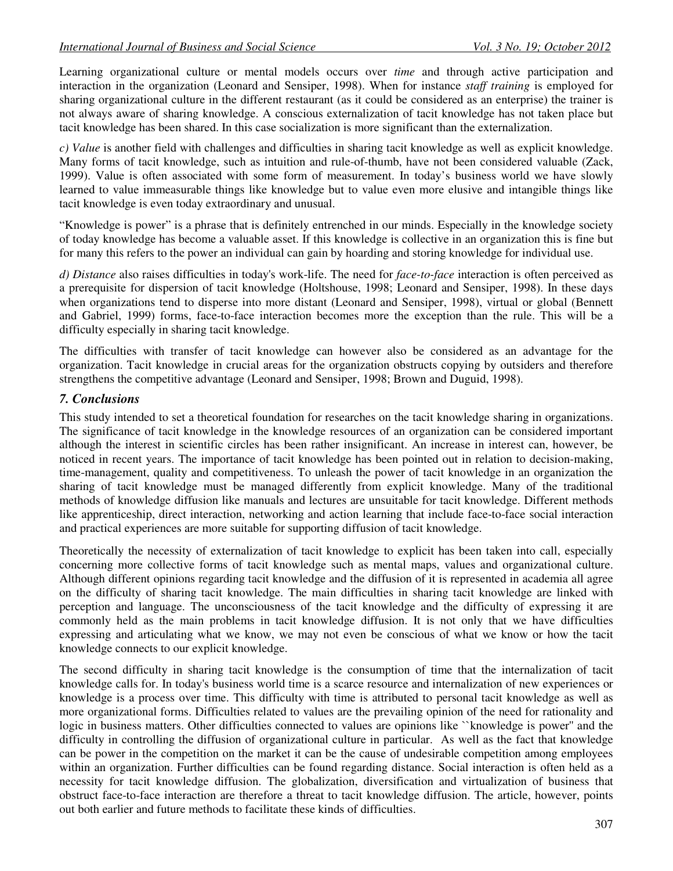Learning organizational culture or mental models occurs over *time* and through active participation and interaction in the organization (Leonard and Sensiper, 1998). When for instance *staff training* is employed for sharing organizational culture in the different restaurant (as it could be considered as an enterprise) the trainer is not always aware of sharing knowledge. A conscious externalization of tacit knowledge has not taken place but tacit knowledge has been shared. In this case socialization is more significant than the externalization.

*c) Value* is another field with challenges and difficulties in sharing tacit knowledge as well as explicit knowledge. Many forms of tacit knowledge, such as intuition and rule-of-thumb, have not been considered valuable (Zack, 1999). Value is often associated with some form of measurement. In today's business world we have slowly learned to value immeasurable things like knowledge but to value even more elusive and intangible things like tacit knowledge is even today extraordinary and unusual.

"Knowledge is power" is a phrase that is definitely entrenched in our minds. Especially in the knowledge society of today knowledge has become a valuable asset. If this knowledge is collective in an organization this is fine but for many this refers to the power an individual can gain by hoarding and storing knowledge for individual use.

*d) Distance* also raises difficulties in today's work-life. The need for *face-to-face* interaction is often perceived as a prerequisite for dispersion of tacit knowledge (Holtshouse, 1998; Leonard and Sensiper, 1998). In these days when organizations tend to disperse into more distant (Leonard and Sensiper, 1998), virtual or global (Bennett and Gabriel, 1999) forms, face-to-face interaction becomes more the exception than the rule. This will be a difficulty especially in sharing tacit knowledge.

The difficulties with transfer of tacit knowledge can however also be considered as an advantage for the organization. Tacit knowledge in crucial areas for the organization obstructs copying by outsiders and therefore strengthens the competitive advantage (Leonard and Sensiper, 1998; Brown and Duguid, 1998).

## *7. Conclusions*

This study intended to set a theoretical foundation for researches on the tacit knowledge sharing in organizations. The significance of tacit knowledge in the knowledge resources of an organization can be considered important although the interest in scientific circles has been rather insignificant. An increase in interest can, however, be noticed in recent years. The importance of tacit knowledge has been pointed out in relation to decision-making, time-management, quality and competitiveness. To unleash the power of tacit knowledge in an organization the sharing of tacit knowledge must be managed differently from explicit knowledge. Many of the traditional methods of knowledge diffusion like manuals and lectures are unsuitable for tacit knowledge. Different methods like apprenticeship, direct interaction, networking and action learning that include face-to-face social interaction and practical experiences are more suitable for supporting diffusion of tacit knowledge.

Theoretically the necessity of externalization of tacit knowledge to explicit has been taken into call, especially concerning more collective forms of tacit knowledge such as mental maps, values and organizational culture. Although different opinions regarding tacit knowledge and the diffusion of it is represented in academia all agree on the difficulty of sharing tacit knowledge. The main difficulties in sharing tacit knowledge are linked with perception and language. The unconsciousness of the tacit knowledge and the difficulty of expressing it are commonly held as the main problems in tacit knowledge diffusion. It is not only that we have difficulties expressing and articulating what we know, we may not even be conscious of what we know or how the tacit knowledge connects to our explicit knowledge.

The second difficulty in sharing tacit knowledge is the consumption of time that the internalization of tacit knowledge calls for. In today's business world time is a scarce resource and internalization of new experiences or knowledge is a process over time. This difficulty with time is attributed to personal tacit knowledge as well as more organizational forms. Difficulties related to values are the prevailing opinion of the need for rationality and logic in business matters. Other difficulties connected to values are opinions like ``knowledge is power" and the difficulty in controlling the diffusion of organizational culture in particular. As well as the fact that knowledge can be power in the competition on the market it can be the cause of undesirable competition among employees within an organization. Further difficulties can be found regarding distance. Social interaction is often held as a necessity for tacit knowledge diffusion. The globalization, diversification and virtualization of business that obstruct face-to-face interaction are therefore a threat to tacit knowledge diffusion. The article, however, points out both earlier and future methods to facilitate these kinds of difficulties.